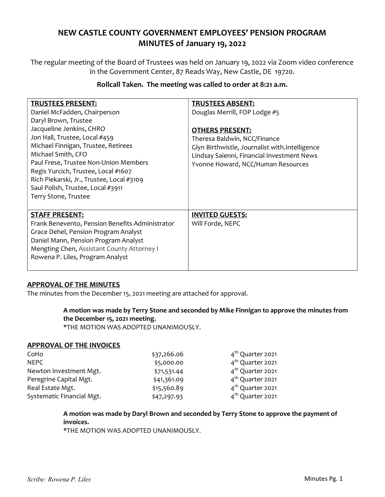# NEW CASTLE COUNTY GOVERNMENT EMPLOYEES' PENSION PROGRAM MINUTES of January 19, 2022

The regular meeting of the Board of Trustees was held on January 19, 2022 via Zoom video conference in the Government Center, 87 Reads Way, New Castle, DE 19720.

## Rollcall Taken. The meeting was called to order at 8:21 a.m.

| <b>TRUSTEES PRESENT:</b>                        | <b>TRUSTEES ABSENT:</b>                        |
|-------------------------------------------------|------------------------------------------------|
| Daniel McFadden, Chairperson                    | Douglas Merrill, FOP Lodge #5                  |
| Daryl Brown, Trustee                            |                                                |
| Jacqueline Jenkins, CHRO                        | <b>OTHERS PRESENT:</b>                         |
| Jon Hall, Trustee, Local #459                   | Theresa Baldwin, NCC/Finance                   |
| Michael Finnigan, Trustee, Retirees             | Glyn Birthwistle, Journalist with.Intelligence |
| Michael Smith, CFO                              | Lindsay Saienni, Financial Investment News     |
| Paul Frese, Trustee Non-Union Members           | Yvonne Howard, NCC/Human Resources             |
| Regis Yurcich, Trustee, Local #1607             |                                                |
| Rich Piekarski, Jr., Trustee, Local #3109       |                                                |
| Saul Polish, Trustee, Local #3911               |                                                |
| Terry Stone, Trustee                            |                                                |
|                                                 |                                                |
| <b>STAFF PRESENT:</b>                           | <b>INVITED GUESTS:</b>                         |
| Frank Benevento, Pension Benefits Administrator | Will Forde, NEPC                               |
| Grace Dehel, Pension Program Analyst            |                                                |
| Daniel Mann, Pension Program Analyst            |                                                |
| Mengting Chen, Assistant County Attorney I      |                                                |
| Rowena P. Liles, Program Analyst                |                                                |
|                                                 |                                                |

## APPROVAL OF THE MINUTES

The minutes from the December 15, 2021 meeting are attached for approval.

A motion was made by Terry Stone and seconded by Mike Finnigan to approve the minutes from the December 15, 2021 meeting.

\*THE MOTION WAS ADOPTED UNANIMOUSLY.

#### APPROVAL OF THE INVOICES

| CoHo                      | \$37,266.06 | 4 <sup>th</sup> Quarter 2021 |
|---------------------------|-------------|------------------------------|
| NFPC                      | \$5,000.00  | 4 <sup>th</sup> Quarter 2021 |
| Newton Investment Mgt.    | \$71,531.44 | 4 <sup>th</sup> Quarter 2021 |
| Peregrine Capital Mgt.    | \$41,361.09 | 4 <sup>th</sup> Quarter 2021 |
| Real Estate Mgt.          | \$15,560.89 | 4 <sup>th</sup> Quarter 2021 |
| Systematic Financial Mgt. | \$47,297.93 | 4 <sup>th</sup> Quarter 2021 |

### A motion was made by Daryl Brown and seconded by Terry Stone to approve the payment of invoices.

\*THE MOTION WAS ADOPTED UNANIMOUSLY.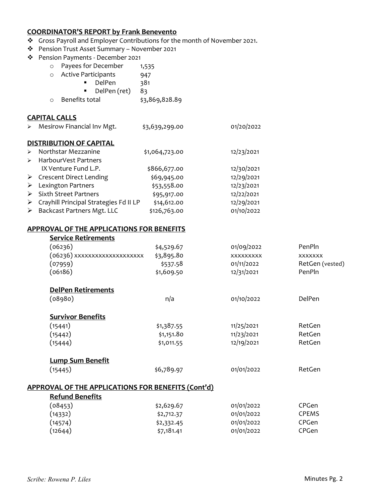## COORDINATOR'S REPORT by Frank Benevento

- \* Gross Payroll and Employer Contributions for the month of November 2021.
- Pension Trust Asset Summary November 2021
- Pension Payments December 2021

| Persion Payments - December 2021 |                       |                                        |                |            |  |
|----------------------------------|-----------------------|----------------------------------------|----------------|------------|--|
|                                  |                       | Payees for December<br>$\circ$         | 1,535          |            |  |
|                                  |                       | <b>Active Participants</b><br>$\circ$  | 947            |            |  |
|                                  |                       | DelPen                                 | 381            |            |  |
|                                  |                       | DelPen (ret)                           | 83             |            |  |
|                                  |                       | Benefits total<br>$\circ$              | \$3,869,828.89 |            |  |
|                                  |                       | <b>CAPITAL CALLS</b>                   |                |            |  |
|                                  | ⋗                     | Mesirow Financial Inv Mgt.             | \$3,639,299.00 | 01/20/2022 |  |
|                                  |                       | <b>DISTRIBUTION OF CAPITAL</b>         |                |            |  |
|                                  | $\blacktriangleright$ | Northstar Mezzanine                    | \$1,064,723.00 | 12/23/2021 |  |
|                                  | $\blacktriangleright$ | HarbourVest Partners                   |                |            |  |
|                                  |                       | IX Venture Fund L.P.                   | \$866,677.00   | 12/30/2021 |  |
|                                  | ➤                     | Crescent Direct Lending                | \$69,945.00    | 12/29/2021 |  |
|                                  | ➤                     | Lexington Partners                     | \$53,558.00    | 12/23/2021 |  |
|                                  | ≻                     | <b>Sixth Street Partners</b>           | \$95,917.00    | 12/22/2021 |  |
|                                  | ➤                     | Crayhill Principal Strategies Fd II LP | \$14,612.00    | 12/29/2021 |  |
|                                  | ≻                     | Backcast Partners Mgt. LLC             | \$126,763.00   | 01/10/2022 |  |
|                                  |                       |                                        |                |            |  |

#### APPROVAL OF THE APPLICATIONS FOR BENEFITS

| <b>Service Retirements</b>                                |            |            |                 |
|-----------------------------------------------------------|------------|------------|-----------------|
| (06236)                                                   | \$4,529.67 | 01/09/2022 | PenPln          |
| (06236) xxxxxxxxxxxxxxxxxxx                               | \$3,895.80 | XXXXXXXXX  | <b>XXXXXXX</b>  |
| (07959)                                                   | \$537.58   | 01/11/2022 | RetGen (vested) |
| (06186)                                                   | \$1,609.50 | 12/31/2021 | PenPln          |
| <b>DelPen Retirements</b>                                 |            |            |                 |
| (08980)                                                   | n/a        | 01/10/2022 | DelPen          |
| <b>Survivor Benefits</b>                                  |            |            |                 |
| (15441)                                                   | \$1,387.55 | 11/25/2021 | RetGen          |
| (15442)                                                   | \$1,151.80 | 11/23/2021 | RetGen          |
| (15444)                                                   | \$1,011.55 | 12/19/2021 | RetGen          |
| <b>Lump Sum Benefit</b>                                   |            |            |                 |
| (15445)                                                   | \$6,789.97 | 01/01/2022 | RetGen          |
| <b>APPROVAL OF THE APPLICATIONS FOR BENEFITS (Cont'd)</b> |            |            |                 |
| <b>Refund Benefits</b>                                    |            |            |                 |
| (08453)                                                   | \$2,629.67 | 01/01/2022 | CPGen           |
| (14332)                                                   | \$2,712.37 | 01/01/2022 | <b>CPEMS</b>    |
| (14574)                                                   | \$2,332.45 | 01/01/2022 | CPGen           |
| (12644)                                                   | \$7,181.41 | 01/01/2022 | CPGen           |
|                                                           |            |            |                 |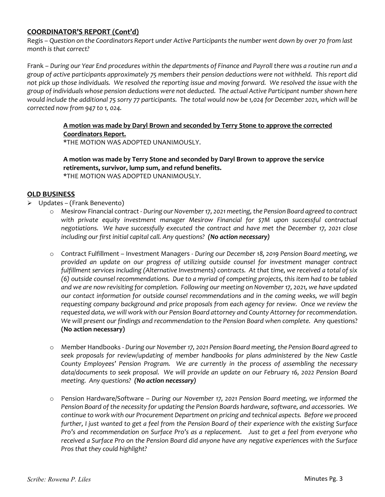## COORDINATOR'S REPORT (Cont'd)

Regis – Question on the Coordinators Report under Active Participants the number went down by over 70 from last month is that correct?

Frank – During our Year End procedures within the departments of Finance and Payroll there was a routine run and a group of active participants approximately 75 members their pension deductions were not withheld. This report did not pick up those individuals. We resolved the reporting issue and moving forward. We resolved the issue with the group of individuals whose pension deductions were not deducted. The actual Active Participant number shown here would include the additional 75 sorry 77 participants. The total would now be 1,024 for December 2021, which will be corrected now from 947 to 1, 024.

## A motion was made by Daryl Brown and seconded by Terry Stone to approve the corrected Coordinators Report.

\*THE MOTION WAS ADOPTED UNANIMOUSLY.

### A motion was made by Terry Stone and seconded by Daryl Brown to approve the service retirements, survivor, lump sum, and refund benefits. \*THE MOTION WAS ADOPTED UNANIMOUSLY.

## OLD BUSINESS

- $\triangleright$  Updates (Frank Benevento)
	- o Mesirow Financial contract During our November 17, 2021 meeting, the Pension Board agreed to contract with private equity investment manager Mesirow Financial for \$7M upon successful contractual negotiations. We have successfully executed the contract and have met the December 17, 2021 close including our first initial capital call. Any questions? (No action necessary)
	- o Contract Fulfillment Investment Managers During our December 18, 2019 Pension Board meeting, we provided an update on our progress of utilizing outside counsel for investment manager contract fulfillment services including (Alternative Investments) contracts. At that time, we received a total of six (6) outside counsel recommendations. Due to a myriad of competing projects, this item had to be tabled and we are now revisiting for completion. Following our meeting on November 17, 2021, we have updated our contact information for outside counsel recommendations and in the coming weeks, we will begin requesting company background and price proposals from each agency for review. Once we review the requested data, we will work with our Pension Board attorney and County Attorney for recommendation. We will present our findings and recommendation to the Pension Board when complete. Any questions? (No action necessary)
	- o Member Handbooks During our November 17, 2021 Pension Board meeting, the Pension Board agreed to seek proposals for review/updating of member handbooks for plans administered by the New Castle County Employees' Pension Program. We are currently in the process of assembling the necessary data/documents to seek proposal. We will provide an update on our February 16, 2022 Pension Board meeting. Any questions? (No action necessary)
	- o Pension Hardware/Software During our November 17, 2021 Pension Board meeting, we informed the Pension Board of the necessity for updating the Pension Boards hardware, software, and accessories. We continue to work with our Procurement Department on pricing and technical aspects. Before we proceed further, I just wanted to get a feel from the Pension Board of their experience with the existing Surface Pro's and recommendation on Surface Pro's as a replacement. Just to get a feel from everyone who received a Surface Pro on the Pension Board did anyone have any negative experiences with the Surface Pros that they could highlight?